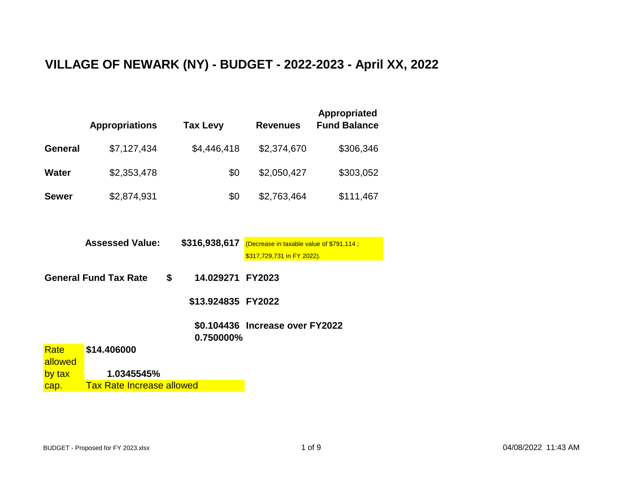## **VILLAGE OF NEWARK (NY) - BUDGET - 2022-2023 - April XX, 2022**

|                | <b>Appropriations</b>              | Tax Levy           | <b>Revenues</b>                          | <b>Appropriated</b><br><b>Fund Balance</b> |  |  |  |  |
|----------------|------------------------------------|--------------------|------------------------------------------|--------------------------------------------|--|--|--|--|
| <b>General</b> | \$7,127,434                        | \$4,446,418        | \$2,374,670                              | \$306,346                                  |  |  |  |  |
| <b>Water</b>   | \$2,353,478                        | \$0                | \$2,050,427                              | \$303,052                                  |  |  |  |  |
| <b>Sewer</b>   | \$2,874,931                        | \$0                | \$2,763,464                              | \$111,467                                  |  |  |  |  |
|                |                                    |                    |                                          |                                            |  |  |  |  |
|                | <b>Assessed Value:</b>             | \$316,938,617      | (Decrease in taxable value of \$791,114; |                                            |  |  |  |  |
|                |                                    |                    | \$317,729,731 in FY 2022).               |                                            |  |  |  |  |
|                | \$<br><b>General Fund Tax Rate</b> | 14.029271          | <b>FY2023</b>                            |                                            |  |  |  |  |
|                |                                    | \$13.924835 FY2022 |                                          |                                            |  |  |  |  |
|                |                                    | 0.750000%          | \$0.104436 Increase over FY2022          |                                            |  |  |  |  |
| Rate           | \$14.406000                        |                    |                                          |                                            |  |  |  |  |
| allowed        | 1.0345545%                         |                    |                                          |                                            |  |  |  |  |
| by tax         |                                    |                    |                                          |                                            |  |  |  |  |

cap. Tax Rate Increase allowed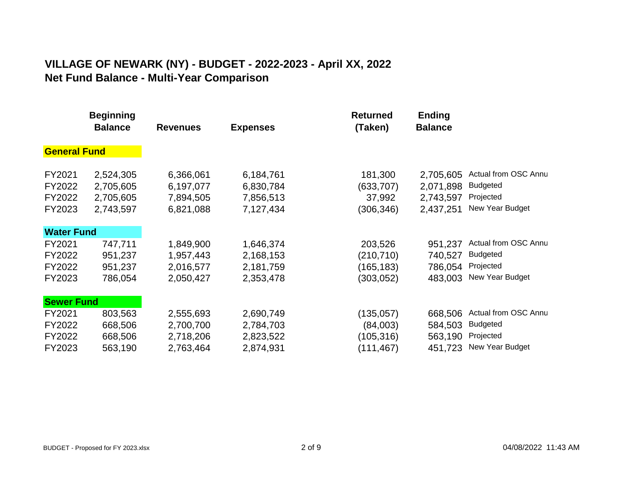## **VILLAGE OF NEWARK (NY) - BUDGET - 2022-2023 - April XX, 2022 Net Fund Balance - Multi-Year Comparison**

|                                      | <b>Beginning</b><br><b>Balance</b>               | <b>Revenues</b>                                  | <b>Expenses</b>                                  | <b>Returned</b><br>(Taken)                         | <b>Ending</b><br><b>Balance</b>                  |                                                                         |
|--------------------------------------|--------------------------------------------------|--------------------------------------------------|--------------------------------------------------|----------------------------------------------------|--------------------------------------------------|-------------------------------------------------------------------------|
| <b>General Fund</b>                  |                                                  |                                                  |                                                  |                                                    |                                                  |                                                                         |
| FY2021<br>FY2022<br>FY2022<br>FY2023 | 2,524,305<br>2,705,605<br>2,705,605<br>2,743,597 | 6,366,061<br>6,197,077<br>7,894,505<br>6,821,088 | 6,184,761<br>6,830,784<br>7,856,513<br>7,127,434 | 181,300<br>(633, 707)<br>37,992<br>(306, 346)      | 2,705,605<br>2,071,898<br>2,743,597<br>2,437,251 | Actual from OSC Annu<br><b>Budgeted</b><br>Projected<br>New Year Budget |
| <b>Water Fund</b>                    |                                                  |                                                  |                                                  |                                                    |                                                  |                                                                         |
| FY2021<br>FY2022<br>FY2022<br>FY2023 | 747,711<br>951,237<br>951,237<br>786,054         | 1,849,900<br>1,957,443<br>2,016,577<br>2,050,427 | 1,646,374<br>2,168,153<br>2,181,759<br>2,353,478 | 203,526<br>(210, 710)<br>(165, 183)<br>(303, 052)  | 951,237<br>740,527<br>786,054<br>483,003         | Actual from OSC Annu<br><b>Budgeted</b><br>Projected<br>New Year Budget |
| <b>Sewer Fund</b>                    |                                                  |                                                  |                                                  |                                                    |                                                  |                                                                         |
| FY2021<br>FY2022<br>FY2022<br>FY2023 | 803,563<br>668,506<br>668,506<br>563,190         | 2,555,693<br>2,700,700<br>2,718,206<br>2,763,464 | 2,690,749<br>2,784,703<br>2,823,522<br>2,874,931 | (135, 057)<br>(84,003)<br>(105, 316)<br>(111, 467) | 668,506<br>584,503<br>563,190<br>451,723         | Actual from OSC Annu<br><b>Budgeted</b><br>Projected<br>New Year Budget |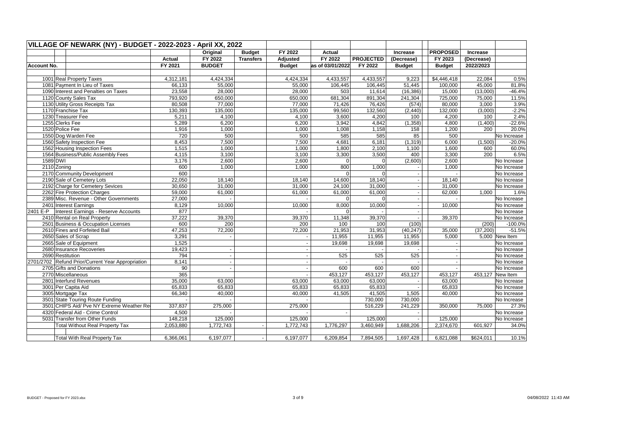|                    | VILLAGE OF NEWARK (NY) - BUDGET - 2022-2023 - April XX, 2022 |           |                          |                  |                 |                  |                  |                |                          |            |                  |
|--------------------|--------------------------------------------------------------|-----------|--------------------------|------------------|-----------------|------------------|------------------|----------------|--------------------------|------------|------------------|
|                    |                                                              |           | Original                 | <b>Budget</b>    | FY 2022         | Actual           |                  | Increase       | <b>PROPOSED</b>          | Increase   |                  |
|                    |                                                              | Actual    | FY 2022                  | <b>Transfers</b> | <b>Adjusted</b> | FY 2022          | <b>PROJECTED</b> | (Decrease)     | FY 2023                  | (Decrease) |                  |
| <b>Account No.</b> |                                                              | FY 2021   | <b>BUDGET</b>            |                  | <b>Budget</b>   | as of 03/01/2022 | FY 2022          | <b>Budget</b>  | <b>Budget</b>            | 2022/2023  |                  |
|                    |                                                              |           |                          |                  |                 |                  |                  |                |                          |            |                  |
|                    | 1001 Real Property Taxes                                     | 4,312,181 | 4,424,334                |                  | 4,424,334       | 4,433,557        | 4,433,557        | 9,223          | \$4,446,418              | 22,084     | 0.5%             |
|                    | 1081 Payment In Lieu of Taxes                                | 66,133    | 55,000                   |                  | 55,000          | 106,445          | 106,445          | 51,445         | 100,000                  | 45,000     | 81.8%            |
|                    | 1090 Interest and Penalties on Taxes                         | 23,558    | 28,000                   |                  | 28,000          | 503              | 11,614           | (16, 386)      | 15,000                   | (13,000)   | $-46.4%$         |
|                    | 1120 County Sales Tax                                        | 793,920   | 650,000                  |                  | 650,000         | 681,304          | 891,304          | 241,304        | 725,000                  | 75,000     | 11.5%            |
|                    | 1130 Utility Gross Receipts Tax                              | 80,508    | 77,000                   |                  | 77,000          | 71,426           | 76,426           | (574)          | 80,000                   | 3,000      | 3.9%             |
|                    | 1170 Franchise Tax                                           | 130,393   | 135,000                  |                  | 135,000         | 99,560           | 132,560          | (2, 440)       | 132,000                  | (3,000)    | $-2.2%$          |
|                    | 1230 Treasurer Fee                                           | 5,211     | 4,100                    |                  | 4,100           | 3,600            | 4,200            | 100            | 4,200                    | 100        | 2.4%             |
| 1255 Clerks Fee    |                                                              | 5,289     | 6,200                    |                  | 6,200           | 3,942            | 4,842            | (1, 358)       | 4,800                    | (1,400)    | $-22.6%$         |
| 1520 Police Fee    |                                                              | 1,916     | 1,000                    |                  | 1,000           | 1,008            | 1,158            | 158            | 1,200                    | 200        | 20.0%            |
|                    | 1550 Dog Warden Fee                                          | 720       | 500                      |                  | 500             | 585              | 585              | 85             | 500                      |            | No Increase      |
|                    | 1560 Safety Inspection Fee                                   | 8,453     | 7,500                    |                  | 7,500           | 4,681            | 6,181            | (1, 319)       | 6,000                    | (1,500)    | $-20.0%$         |
|                    | 1562 Housing Inspection Fees                                 | 1,515     | 1,000                    |                  | 1,000           | 1,800            | 2,100            | 1,100          | 1,600                    | 600        | 60.0%            |
|                    | 1564 Business/Public Assembly Fees                           | 4,115     | 3,100                    |                  | 3,100           | 3,300            | 3,500            | 400            | 3,300                    | 200        | 6.5%             |
| 1589 DWI           |                                                              | 3,176     | 2,600                    |                  | 2,600           | $\Omega$         | $\Omega$         | (2,600)        | 2,600                    |            | No Increase      |
| 2110 Zoning        |                                                              | 600       | 1,000                    |                  | 1,000           | 800              | 1,000            |                | 1,000                    |            | No Increase      |
|                    | 2170 Community Development                                   | 600       |                          |                  |                 | $\Omega$         | $\Omega$         | ٠              |                          |            | No Increase      |
|                    | 2190 Sale of Cemetery Lots                                   | 22,050    | 18.140                   |                  | 18,140          | 14,600           | 18,140           | ä,             | 18,140                   |            | No Increase      |
|                    | 2192 Charge for Cemetery Sevices                             | 30,650    | 31,000                   |                  | 31,000          | 24,100           | 31,000           | $\blacksquare$ | 31,000                   |            | No Increase      |
|                    | 2262 Fire Protection Charges                                 | 59,000    | 61,000                   |                  | 61,000          | 61,000           | 61,000           | ä,             | 62,000                   | 1,000      | 1.6%             |
|                    | 2389 Misc. Revenue - Other Governments                       | 27,000    |                          |                  |                 |                  | $\Omega$         | $\blacksquare$ |                          |            | No Increase      |
|                    | 2401 Interest Earnings                                       | 8,129     | 10.000                   |                  | 10,000          | 8,000            | 10,000           | $\mathbf{r}$   | 10,000                   |            | No Increase      |
| 2401 E-P           | Interest Earnings - Reserve Accounts                         | 877       |                          |                  |                 | $\Omega$         |                  |                |                          |            | No Increase      |
|                    | 2410 Rental on Real Property                                 | 37,222    | 39,370                   |                  | 39,370          | 11,348           | 39,370           |                | 39,370                   |            | No Increase      |
|                    | 2501 Business & Occupation Licenses                          | 600       | 200                      |                  | 200             | 100              | 100              | (100)          |                          | (200)      | $-100.0%$        |
|                    | 2610 Fines and Forfeited Bail                                | 47,253    | 72,200                   |                  | 72,200          | 21,953           | 31,953           | (40, 247)      | 35,000                   | (37, 200)  | $-51.5%$         |
|                    | 2650 Sales of Scrap                                          | 3,291     |                          |                  |                 | 11,955           | 11,955           | 11,955         | 5,000                    |            | 5,000 New Item   |
|                    | 2665 Sale of Equipment                                       | 1,525     |                          |                  |                 | 19,698           | 19,698           | 19,698         |                          |            | No Increase      |
|                    | 2680 Insurance Recoveries                                    | 19,423    | $\overline{\phantom{a}}$ |                  |                 |                  |                  |                |                          |            | No Increase      |
| 2690 Restitution   |                                                              | 794       | $\blacksquare$           |                  |                 | 525              | 525              | 525            | $\overline{\phantom{a}}$ |            | No Increase      |
|                    | 2701/2702 Refund Prior/Current Year Appropriation            | 8,141     | $\tilde{\phantom{a}}$    |                  |                 |                  |                  |                | $\sim$                   |            | No Increase      |
|                    | 2705 Gifts and Donations                                     | 90        | $\overline{a}$           |                  |                 | 600              | 600              | 600            |                          |            | No Increase      |
|                    | 2770 Miscellaneous                                           | 365       |                          |                  |                 | 453,127          | 453,127          | 453,127        | 453,127                  |            | 453,127 New Item |
|                    | 2801 Interfund Revenues                                      | 35,000    | 63,000                   |                  | 63,000          | 63,000           | 63,000           |                | 63,000                   |            | No Increase      |
|                    | 3001 Per Capita Aid                                          | 65,833    | 65,833                   |                  | 65,833          | 65,833           | 65,833           |                | 65,833                   |            | No Increase      |
|                    | 3005 Mortgage Tax                                            | 66,340    | 40,000                   |                  | 40,000          | 41,505           | 41,505           | 1,505          | 40,000                   |            | No Increase      |
|                    | 3501 State Touring Route Funding                             |           |                          |                  |                 |                  | 730,000          | 730,000        |                          |            | No Increase      |
|                    | 3501 CHIPS Aid/ Pve NY Extreme Weather Re                    | 337,837   | 275,000                  |                  | 275,000         |                  | 516.229          | 241,229        | 350,000                  | 75.000     | 27.3%            |
|                    | 4320 Federal Aid - Crime Control                             | 4,500     |                          |                  |                 |                  |                  | $\blacksquare$ |                          |            | No Increase      |
|                    | 5031 Transfer from Other Funds                               | 148,218   | 125,000                  |                  | 125,000         |                  | 125,000          |                | 125,000                  |            | No Increase      |
|                    | <b>Total Without Real Property Tax</b>                       | 2,053,880 | 1,772,743                |                  | 1,772,743       | 1,776,297        | 3,460,949        | 1,688,206      | 2,374,670                | 601,927    | 34.0%            |
|                    |                                                              |           |                          |                  |                 |                  |                  |                |                          |            |                  |
|                    | <b>Total With Real Property Tax</b>                          | 6,366,061 | 6,197,077                |                  | 6,197,077       | 6,209,854        | 7,894,505        | 1,697,428      | 6,821,088                | \$624,011  | 10.1%            |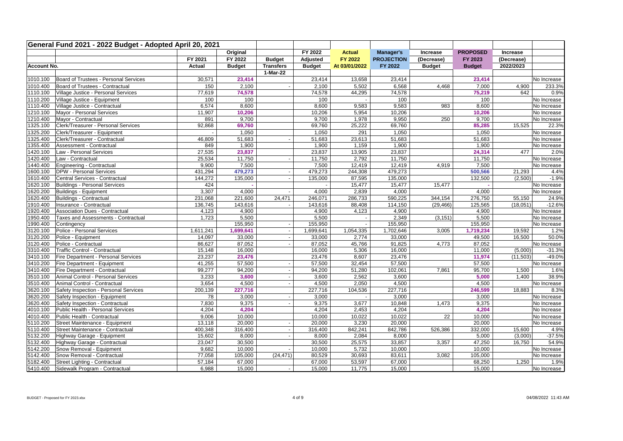| General Fund 2021 - 2022 Budget - Adopted April 20, 2021<br>FY 2022<br>Original<br><b>Actual</b><br><b>PROPOSED</b><br>Manager's<br>Increase<br>Increase<br>FY 2021<br>FY 2022<br>Adjusted<br>FY 2022<br><b>PROJECTION</b><br>FY 2023<br>(Decrease)<br><b>Budget</b><br>(Decrease)<br>FY 2022<br>2022/2023<br>Actual<br><b>Budget</b><br><b>Transfers</b><br><b>Budget</b><br>At 03/01/2022<br><b>Budget</b><br><b>Budget</b><br><b>Account No.</b><br>1-Mar-22<br>1010.100<br>Board of Trustees - Personal Services<br>30,571<br>23,414<br>23,414<br>13,658<br>23,414<br>23,414<br>1010.400<br>Board of Trustees - Contractual<br>150<br>2,100<br>5,502<br>6,568<br>7,000<br>4,900<br>2,100<br>4,468<br>$\overline{\phantom{a}}$<br>Village Justice - Personal Services<br>77,619<br>75,219<br>642<br>1110.100<br>74,578<br>74,578<br>44,295<br>74,578<br>1110.200<br>Village Justice - Equipment<br>100<br>100<br>100<br>100<br>100<br>1110.400<br>Village Justice - Contractual<br>6,574<br>8,600<br>8,600<br>9,583<br>983<br>8,600<br>9,583<br>1210.100<br>Mayor - Personal Services<br>11,907<br>10,206<br>10,206<br>10,206<br>10,206<br>5,954<br>Mayor - Contractual<br>891<br>9,950<br>9,700<br>1210.400<br>9,700<br>9,700<br>1,978<br>250<br>1325.100<br>Clerk/Treasurer - Personal Services<br>92,868<br>25,222<br>69,760<br>85,285<br>15,525<br>69,760<br>69,760<br>1325.200<br>1,050<br>291<br>1,050<br>1,050<br>Clerk/Treasurer - Equipment<br>1,050<br>1325.400<br>Clerk/Treasurer - Contractual<br>46,809<br>23,613<br>51,683<br>51,683<br>51,683<br>51,683<br>$\sim$<br>1355.400<br>Assessment - Contractual<br>849<br>1,900<br>1,900<br>1,159<br>1,900<br>1,900<br>1420.100<br>Law - Personal Services<br>27,535<br>23,837<br>23,837<br>13,905<br>23,837<br>24,314<br>477<br>11,750<br>2,792<br>11,750<br>11,750<br>1420.400<br>Law - Contractual<br>25,534<br>11,750<br>1440.400<br>9,900<br>7,500<br>7,500<br>12,419<br>12,419<br>7,500<br>Engineering - Contractual<br>4,919<br>1600.100<br>431,294<br>479,273<br>244,308<br>479,273<br>500,566<br>21,293<br><b>DPW - Personal Services</b><br>479,273<br>$\overline{\phantom{a}}$<br>1610.400<br>Central Services - Contractual<br>144,272<br>135,000<br>87,595<br>135,000<br>132,500<br>(2,500)<br>135,000<br>$\overline{\phantom{a}}$<br>1620.100<br>Buildings - Personal Services<br>424<br>15,477<br>15,477<br>15,477<br>1620.200<br>3,307<br>Buildings - Equipment<br>4,000<br>4,000<br>2,839<br>4,000<br>4,000<br>1620.400<br>Buildings - Contractual<br>231,068<br>24,471<br>590,225<br>344,154<br>276,750<br>55,150<br>221,600<br>246,071<br>286,733<br>1910.400<br>Insurance - Contractual<br>88,408<br>114,150<br>(29, 466)<br>125,565<br>(18,051)<br>136,745<br>143,616<br>143,616 |             |
|-------------------------------------------------------------------------------------------------------------------------------------------------------------------------------------------------------------------------------------------------------------------------------------------------------------------------------------------------------------------------------------------------------------------------------------------------------------------------------------------------------------------------------------------------------------------------------------------------------------------------------------------------------------------------------------------------------------------------------------------------------------------------------------------------------------------------------------------------------------------------------------------------------------------------------------------------------------------------------------------------------------------------------------------------------------------------------------------------------------------------------------------------------------------------------------------------------------------------------------------------------------------------------------------------------------------------------------------------------------------------------------------------------------------------------------------------------------------------------------------------------------------------------------------------------------------------------------------------------------------------------------------------------------------------------------------------------------------------------------------------------------------------------------------------------------------------------------------------------------------------------------------------------------------------------------------------------------------------------------------------------------------------------------------------------------------------------------------------------------------------------------------------------------------------------------------------------------------------------------------------------------------------------------------------------------------------------------------------------------------------------------------------------------------------------------------------------------------------------------------------------------------------------------------------------------------------------------------------------------------------------------------------------------------------------------------------------------------------------------------------------------------|-------------|
|                                                                                                                                                                                                                                                                                                                                                                                                                                                                                                                                                                                                                                                                                                                                                                                                                                                                                                                                                                                                                                                                                                                                                                                                                                                                                                                                                                                                                                                                                                                                                                                                                                                                                                                                                                                                                                                                                                                                                                                                                                                                                                                                                                                                                                                                                                                                                                                                                                                                                                                                                                                                                                                                                                                                                                   |             |
|                                                                                                                                                                                                                                                                                                                                                                                                                                                                                                                                                                                                                                                                                                                                                                                                                                                                                                                                                                                                                                                                                                                                                                                                                                                                                                                                                                                                                                                                                                                                                                                                                                                                                                                                                                                                                                                                                                                                                                                                                                                                                                                                                                                                                                                                                                                                                                                                                                                                                                                                                                                                                                                                                                                                                                   |             |
|                                                                                                                                                                                                                                                                                                                                                                                                                                                                                                                                                                                                                                                                                                                                                                                                                                                                                                                                                                                                                                                                                                                                                                                                                                                                                                                                                                                                                                                                                                                                                                                                                                                                                                                                                                                                                                                                                                                                                                                                                                                                                                                                                                                                                                                                                                                                                                                                                                                                                                                                                                                                                                                                                                                                                                   |             |
|                                                                                                                                                                                                                                                                                                                                                                                                                                                                                                                                                                                                                                                                                                                                                                                                                                                                                                                                                                                                                                                                                                                                                                                                                                                                                                                                                                                                                                                                                                                                                                                                                                                                                                                                                                                                                                                                                                                                                                                                                                                                                                                                                                                                                                                                                                                                                                                                                                                                                                                                                                                                                                                                                                                                                                   |             |
|                                                                                                                                                                                                                                                                                                                                                                                                                                                                                                                                                                                                                                                                                                                                                                                                                                                                                                                                                                                                                                                                                                                                                                                                                                                                                                                                                                                                                                                                                                                                                                                                                                                                                                                                                                                                                                                                                                                                                                                                                                                                                                                                                                                                                                                                                                                                                                                                                                                                                                                                                                                                                                                                                                                                                                   | No Increase |
|                                                                                                                                                                                                                                                                                                                                                                                                                                                                                                                                                                                                                                                                                                                                                                                                                                                                                                                                                                                                                                                                                                                                                                                                                                                                                                                                                                                                                                                                                                                                                                                                                                                                                                                                                                                                                                                                                                                                                                                                                                                                                                                                                                                                                                                                                                                                                                                                                                                                                                                                                                                                                                                                                                                                                                   | 233.3%      |
|                                                                                                                                                                                                                                                                                                                                                                                                                                                                                                                                                                                                                                                                                                                                                                                                                                                                                                                                                                                                                                                                                                                                                                                                                                                                                                                                                                                                                                                                                                                                                                                                                                                                                                                                                                                                                                                                                                                                                                                                                                                                                                                                                                                                                                                                                                                                                                                                                                                                                                                                                                                                                                                                                                                                                                   | 0.9%        |
|                                                                                                                                                                                                                                                                                                                                                                                                                                                                                                                                                                                                                                                                                                                                                                                                                                                                                                                                                                                                                                                                                                                                                                                                                                                                                                                                                                                                                                                                                                                                                                                                                                                                                                                                                                                                                                                                                                                                                                                                                                                                                                                                                                                                                                                                                                                                                                                                                                                                                                                                                                                                                                                                                                                                                                   | No Increase |
|                                                                                                                                                                                                                                                                                                                                                                                                                                                                                                                                                                                                                                                                                                                                                                                                                                                                                                                                                                                                                                                                                                                                                                                                                                                                                                                                                                                                                                                                                                                                                                                                                                                                                                                                                                                                                                                                                                                                                                                                                                                                                                                                                                                                                                                                                                                                                                                                                                                                                                                                                                                                                                                                                                                                                                   | No Increase |
|                                                                                                                                                                                                                                                                                                                                                                                                                                                                                                                                                                                                                                                                                                                                                                                                                                                                                                                                                                                                                                                                                                                                                                                                                                                                                                                                                                                                                                                                                                                                                                                                                                                                                                                                                                                                                                                                                                                                                                                                                                                                                                                                                                                                                                                                                                                                                                                                                                                                                                                                                                                                                                                                                                                                                                   | No Increase |
|                                                                                                                                                                                                                                                                                                                                                                                                                                                                                                                                                                                                                                                                                                                                                                                                                                                                                                                                                                                                                                                                                                                                                                                                                                                                                                                                                                                                                                                                                                                                                                                                                                                                                                                                                                                                                                                                                                                                                                                                                                                                                                                                                                                                                                                                                                                                                                                                                                                                                                                                                                                                                                                                                                                                                                   | No Increase |
|                                                                                                                                                                                                                                                                                                                                                                                                                                                                                                                                                                                                                                                                                                                                                                                                                                                                                                                                                                                                                                                                                                                                                                                                                                                                                                                                                                                                                                                                                                                                                                                                                                                                                                                                                                                                                                                                                                                                                                                                                                                                                                                                                                                                                                                                                                                                                                                                                                                                                                                                                                                                                                                                                                                                                                   | 22.3%       |
|                                                                                                                                                                                                                                                                                                                                                                                                                                                                                                                                                                                                                                                                                                                                                                                                                                                                                                                                                                                                                                                                                                                                                                                                                                                                                                                                                                                                                                                                                                                                                                                                                                                                                                                                                                                                                                                                                                                                                                                                                                                                                                                                                                                                                                                                                                                                                                                                                                                                                                                                                                                                                                                                                                                                                                   | No Increase |
|                                                                                                                                                                                                                                                                                                                                                                                                                                                                                                                                                                                                                                                                                                                                                                                                                                                                                                                                                                                                                                                                                                                                                                                                                                                                                                                                                                                                                                                                                                                                                                                                                                                                                                                                                                                                                                                                                                                                                                                                                                                                                                                                                                                                                                                                                                                                                                                                                                                                                                                                                                                                                                                                                                                                                                   | No Increase |
|                                                                                                                                                                                                                                                                                                                                                                                                                                                                                                                                                                                                                                                                                                                                                                                                                                                                                                                                                                                                                                                                                                                                                                                                                                                                                                                                                                                                                                                                                                                                                                                                                                                                                                                                                                                                                                                                                                                                                                                                                                                                                                                                                                                                                                                                                                                                                                                                                                                                                                                                                                                                                                                                                                                                                                   | No Increase |
|                                                                                                                                                                                                                                                                                                                                                                                                                                                                                                                                                                                                                                                                                                                                                                                                                                                                                                                                                                                                                                                                                                                                                                                                                                                                                                                                                                                                                                                                                                                                                                                                                                                                                                                                                                                                                                                                                                                                                                                                                                                                                                                                                                                                                                                                                                                                                                                                                                                                                                                                                                                                                                                                                                                                                                   | 2.0%        |
|                                                                                                                                                                                                                                                                                                                                                                                                                                                                                                                                                                                                                                                                                                                                                                                                                                                                                                                                                                                                                                                                                                                                                                                                                                                                                                                                                                                                                                                                                                                                                                                                                                                                                                                                                                                                                                                                                                                                                                                                                                                                                                                                                                                                                                                                                                                                                                                                                                                                                                                                                                                                                                                                                                                                                                   | No Increase |
|                                                                                                                                                                                                                                                                                                                                                                                                                                                                                                                                                                                                                                                                                                                                                                                                                                                                                                                                                                                                                                                                                                                                                                                                                                                                                                                                                                                                                                                                                                                                                                                                                                                                                                                                                                                                                                                                                                                                                                                                                                                                                                                                                                                                                                                                                                                                                                                                                                                                                                                                                                                                                                                                                                                                                                   | No Increase |
|                                                                                                                                                                                                                                                                                                                                                                                                                                                                                                                                                                                                                                                                                                                                                                                                                                                                                                                                                                                                                                                                                                                                                                                                                                                                                                                                                                                                                                                                                                                                                                                                                                                                                                                                                                                                                                                                                                                                                                                                                                                                                                                                                                                                                                                                                                                                                                                                                                                                                                                                                                                                                                                                                                                                                                   | 4.4%        |
|                                                                                                                                                                                                                                                                                                                                                                                                                                                                                                                                                                                                                                                                                                                                                                                                                                                                                                                                                                                                                                                                                                                                                                                                                                                                                                                                                                                                                                                                                                                                                                                                                                                                                                                                                                                                                                                                                                                                                                                                                                                                                                                                                                                                                                                                                                                                                                                                                                                                                                                                                                                                                                                                                                                                                                   | $-1.9%$     |
|                                                                                                                                                                                                                                                                                                                                                                                                                                                                                                                                                                                                                                                                                                                                                                                                                                                                                                                                                                                                                                                                                                                                                                                                                                                                                                                                                                                                                                                                                                                                                                                                                                                                                                                                                                                                                                                                                                                                                                                                                                                                                                                                                                                                                                                                                                                                                                                                                                                                                                                                                                                                                                                                                                                                                                   | No Increase |
|                                                                                                                                                                                                                                                                                                                                                                                                                                                                                                                                                                                                                                                                                                                                                                                                                                                                                                                                                                                                                                                                                                                                                                                                                                                                                                                                                                                                                                                                                                                                                                                                                                                                                                                                                                                                                                                                                                                                                                                                                                                                                                                                                                                                                                                                                                                                                                                                                                                                                                                                                                                                                                                                                                                                                                   | No Increase |
|                                                                                                                                                                                                                                                                                                                                                                                                                                                                                                                                                                                                                                                                                                                                                                                                                                                                                                                                                                                                                                                                                                                                                                                                                                                                                                                                                                                                                                                                                                                                                                                                                                                                                                                                                                                                                                                                                                                                                                                                                                                                                                                                                                                                                                                                                                                                                                                                                                                                                                                                                                                                                                                                                                                                                                   | 24.9%       |
|                                                                                                                                                                                                                                                                                                                                                                                                                                                                                                                                                                                                                                                                                                                                                                                                                                                                                                                                                                                                                                                                                                                                                                                                                                                                                                                                                                                                                                                                                                                                                                                                                                                                                                                                                                                                                                                                                                                                                                                                                                                                                                                                                                                                                                                                                                                                                                                                                                                                                                                                                                                                                                                                                                                                                                   | $-12.6%$    |
| 4,900<br>1920.400<br><b>Association Dues - Contractual</b><br>4,123<br>4,900<br>4,900<br>4,900<br>4,123                                                                                                                                                                                                                                                                                                                                                                                                                                                                                                                                                                                                                                                                                                                                                                                                                                                                                                                                                                                                                                                                                                                                                                                                                                                                                                                                                                                                                                                                                                                                                                                                                                                                                                                                                                                                                                                                                                                                                                                                                                                                                                                                                                                                                                                                                                                                                                                                                                                                                                                                                                                                                                                           | No Increase |
| 1950.400<br>Taxes and Assessments - Contractual<br>1,723<br>5,500<br>5,500<br>2,349<br>(3, 151)<br>5,500                                                                                                                                                                                                                                                                                                                                                                                                                                                                                                                                                                                                                                                                                                                                                                                                                                                                                                                                                                                                                                                                                                                                                                                                                                                                                                                                                                                                                                                                                                                                                                                                                                                                                                                                                                                                                                                                                                                                                                                                                                                                                                                                                                                                                                                                                                                                                                                                                                                                                                                                                                                                                                                          | No Increase |
| 1990.400<br>155,950<br>155,950<br>155,950<br>155,950<br>Contingency<br>$\sim$                                                                                                                                                                                                                                                                                                                                                                                                                                                                                                                                                                                                                                                                                                                                                                                                                                                                                                                                                                                                                                                                                                                                                                                                                                                                                                                                                                                                                                                                                                                                                                                                                                                                                                                                                                                                                                                                                                                                                                                                                                                                                                                                                                                                                                                                                                                                                                                                                                                                                                                                                                                                                                                                                     | No Increase |
| Police - Personal Services<br>3120.100<br>1,611,241<br>1,699,641<br>1,699,641<br>1,054,335<br>1,702,646<br>3,005<br>1,719,234<br>19,592<br>$\sim$                                                                                                                                                                                                                                                                                                                                                                                                                                                                                                                                                                                                                                                                                                                                                                                                                                                                                                                                                                                                                                                                                                                                                                                                                                                                                                                                                                                                                                                                                                                                                                                                                                                                                                                                                                                                                                                                                                                                                                                                                                                                                                                                                                                                                                                                                                                                                                                                                                                                                                                                                                                                                 | 1.2%        |
| 3120.200<br>Police - Equipment<br>33,000<br>16,500<br>14,097<br>33,000<br>2,774<br>33,000<br>49,500<br>$\omega$                                                                                                                                                                                                                                                                                                                                                                                                                                                                                                                                                                                                                                                                                                                                                                                                                                                                                                                                                                                                                                                                                                                                                                                                                                                                                                                                                                                                                                                                                                                                                                                                                                                                                                                                                                                                                                                                                                                                                                                                                                                                                                                                                                                                                                                                                                                                                                                                                                                                                                                                                                                                                                                   | 50.0%       |
| 87,052<br>91,825<br>87,052<br>3120.400<br>Police - Contractual<br>86,627<br>87,052<br>45,766<br>4,773<br>$\overline{a}$                                                                                                                                                                                                                                                                                                                                                                                                                                                                                                                                                                                                                                                                                                                                                                                                                                                                                                                                                                                                                                                                                                                                                                                                                                                                                                                                                                                                                                                                                                                                                                                                                                                                                                                                                                                                                                                                                                                                                                                                                                                                                                                                                                                                                                                                                                                                                                                                                                                                                                                                                                                                                                           | No Increase |
| 3310.400<br>Traffic Control - Contractual<br>15,148<br>16,000<br>5,306<br>16,000<br>11,000<br>16,000<br>(5,000)                                                                                                                                                                                                                                                                                                                                                                                                                                                                                                                                                                                                                                                                                                                                                                                                                                                                                                                                                                                                                                                                                                                                                                                                                                                                                                                                                                                                                                                                                                                                                                                                                                                                                                                                                                                                                                                                                                                                                                                                                                                                                                                                                                                                                                                                                                                                                                                                                                                                                                                                                                                                                                                   | $-31.3%$    |
| 3410.100<br>Fire Department - Personal Services<br>23,237<br>23,476<br>23,476<br>8,607<br>23,476<br>11,974<br>(11,503)                                                                                                                                                                                                                                                                                                                                                                                                                                                                                                                                                                                                                                                                                                                                                                                                                                                                                                                                                                                                                                                                                                                                                                                                                                                                                                                                                                                                                                                                                                                                                                                                                                                                                                                                                                                                                                                                                                                                                                                                                                                                                                                                                                                                                                                                                                                                                                                                                                                                                                                                                                                                                                            | $-49.0%$    |
| 3410.200<br>41,255<br>57,500<br>Fire Department - Equipment<br>57,500<br>57,500<br>32,454<br>57,500<br>$\overline{\phantom{a}}$                                                                                                                                                                                                                                                                                                                                                                                                                                                                                                                                                                                                                                                                                                                                                                                                                                                                                                                                                                                                                                                                                                                                                                                                                                                                                                                                                                                                                                                                                                                                                                                                                                                                                                                                                                                                                                                                                                                                                                                                                                                                                                                                                                                                                                                                                                                                                                                                                                                                                                                                                                                                                                   | No Increase |
| 3410.400<br>Fire Department - Contractual<br>99,277<br>94,200<br>51,280<br>102,061<br>7,861<br>95,700<br>1,500<br>94,200<br>$\overline{\phantom{a}}$                                                                                                                                                                                                                                                                                                                                                                                                                                                                                                                                                                                                                                                                                                                                                                                                                                                                                                                                                                                                                                                                                                                                                                                                                                                                                                                                                                                                                                                                                                                                                                                                                                                                                                                                                                                                                                                                                                                                                                                                                                                                                                                                                                                                                                                                                                                                                                                                                                                                                                                                                                                                              | 1.6%        |
| 3510.100<br>Animal Control - Personal Services<br>3,233<br>3,600<br>3,600<br>2,562<br>3,600<br>5,000<br>1,400<br>$\sim$                                                                                                                                                                                                                                                                                                                                                                                                                                                                                                                                                                                                                                                                                                                                                                                                                                                                                                                                                                                                                                                                                                                                                                                                                                                                                                                                                                                                                                                                                                                                                                                                                                                                                                                                                                                                                                                                                                                                                                                                                                                                                                                                                                                                                                                                                                                                                                                                                                                                                                                                                                                                                                           | 38.9%       |
| Animal Control - Contractual<br>3,654<br>2,050<br>4,500<br>4,500<br>3510.400<br>4,500<br>4,500<br>$\sim$                                                                                                                                                                                                                                                                                                                                                                                                                                                                                                                                                                                                                                                                                                                                                                                                                                                                                                                                                                                                                                                                                                                                                                                                                                                                                                                                                                                                                                                                                                                                                                                                                                                                                                                                                                                                                                                                                                                                                                                                                                                                                                                                                                                                                                                                                                                                                                                                                                                                                                                                                                                                                                                          | No Increase |
| 3620.100<br>Safety Inspection - Personal Services<br>200,139<br>227,716<br>227,716<br>104,536<br>227,716<br>246,599<br>18,883                                                                                                                                                                                                                                                                                                                                                                                                                                                                                                                                                                                                                                                                                                                                                                                                                                                                                                                                                                                                                                                                                                                                                                                                                                                                                                                                                                                                                                                                                                                                                                                                                                                                                                                                                                                                                                                                                                                                                                                                                                                                                                                                                                                                                                                                                                                                                                                                                                                                                                                                                                                                                                     | 8.3%        |
| 78<br>3,000<br>3,000<br>3,000<br>3620.200<br>Safety Inspection - Equipment<br>3,000<br>$\sim$                                                                                                                                                                                                                                                                                                                                                                                                                                                                                                                                                                                                                                                                                                                                                                                                                                                                                                                                                                                                                                                                                                                                                                                                                                                                                                                                                                                                                                                                                                                                                                                                                                                                                                                                                                                                                                                                                                                                                                                                                                                                                                                                                                                                                                                                                                                                                                                                                                                                                                                                                                                                                                                                     | No Increase |
| 3620.400<br>7,830<br>9,375<br>3,677<br>9,375<br>Safety Inspection - Contractual<br>9,375<br>10,848<br>1,473<br>$\sim$                                                                                                                                                                                                                                                                                                                                                                                                                                                                                                                                                                                                                                                                                                                                                                                                                                                                                                                                                                                                                                                                                                                                                                                                                                                                                                                                                                                                                                                                                                                                                                                                                                                                                                                                                                                                                                                                                                                                                                                                                                                                                                                                                                                                                                                                                                                                                                                                                                                                                                                                                                                                                                             | No Increase |
| 4,204<br>4010.100<br>Public Health - Personal Services<br>4,204<br>4,204<br>4,204<br>2,453<br>4,204                                                                                                                                                                                                                                                                                                                                                                                                                                                                                                                                                                                                                                                                                                                                                                                                                                                                                                                                                                                                                                                                                                                                                                                                                                                                                                                                                                                                                                                                                                                                                                                                                                                                                                                                                                                                                                                                                                                                                                                                                                                                                                                                                                                                                                                                                                                                                                                                                                                                                                                                                                                                                                                               | No Increase |
| 4010.400<br>9,006<br>10,000<br>10,022<br>10,022<br>22<br>10,000<br>Public Health - Contractual<br>10,000                                                                                                                                                                                                                                                                                                                                                                                                                                                                                                                                                                                                                                                                                                                                                                                                                                                                                                                                                                                                                                                                                                                                                                                                                                                                                                                                                                                                                                                                                                                                                                                                                                                                                                                                                                                                                                                                                                                                                                                                                                                                                                                                                                                                                                                                                                                                                                                                                                                                                                                                                                                                                                                          | No Increase |
| 5110.200<br>3,230<br>20,000<br>20,000<br>Street Maintenance - Equipment<br>13,118<br>20,000<br>20,000<br>$\overline{\phantom{a}}$                                                                                                                                                                                                                                                                                                                                                                                                                                                                                                                                                                                                                                                                                                                                                                                                                                                                                                                                                                                                                                                                                                                                                                                                                                                                                                                                                                                                                                                                                                                                                                                                                                                                                                                                                                                                                                                                                                                                                                                                                                                                                                                                                                                                                                                                                                                                                                                                                                                                                                                                                                                                                                 | No Increase |
| 5110.400<br>Street Maintenance - Contractual<br>400,348<br>316,400<br>316,400<br>842,241<br>842,786<br>526,386<br>332,000<br>15,600<br>$\sim$                                                                                                                                                                                                                                                                                                                                                                                                                                                                                                                                                                                                                                                                                                                                                                                                                                                                                                                                                                                                                                                                                                                                                                                                                                                                                                                                                                                                                                                                                                                                                                                                                                                                                                                                                                                                                                                                                                                                                                                                                                                                                                                                                                                                                                                                                                                                                                                                                                                                                                                                                                                                                     | 4.9%        |
| 5132.200<br>8,000<br>5,000<br>Highway Garage - Equipment<br>15,602<br>8,000<br>2,084<br>8,000<br>(3,000)<br>$\sim$                                                                                                                                                                                                                                                                                                                                                                                                                                                                                                                                                                                                                                                                                                                                                                                                                                                                                                                                                                                                                                                                                                                                                                                                                                                                                                                                                                                                                                                                                                                                                                                                                                                                                                                                                                                                                                                                                                                                                                                                                                                                                                                                                                                                                                                                                                                                                                                                                                                                                                                                                                                                                                                | $-37.5%$    |
| 25,575<br>47,250<br>5132.400<br>Highway Garage - Contractual<br>23,047<br>30,500<br>30,500<br>33,857<br>3,357<br>16,750                                                                                                                                                                                                                                                                                                                                                                                                                                                                                                                                                                                                                                                                                                                                                                                                                                                                                                                                                                                                                                                                                                                                                                                                                                                                                                                                                                                                                                                                                                                                                                                                                                                                                                                                                                                                                                                                                                                                                                                                                                                                                                                                                                                                                                                                                                                                                                                                                                                                                                                                                                                                                                           | 54.9%       |
| 5142.200<br>9,682<br>10,000<br>Snow Removal - Equipment<br>10,000<br>10,000<br>5,732<br>10,000                                                                                                                                                                                                                                                                                                                                                                                                                                                                                                                                                                                                                                                                                                                                                                                                                                                                                                                                                                                                                                                                                                                                                                                                                                                                                                                                                                                                                                                                                                                                                                                                                                                                                                                                                                                                                                                                                                                                                                                                                                                                                                                                                                                                                                                                                                                                                                                                                                                                                                                                                                                                                                                                    | No Increase |
| Snow Removal - Contractual<br>77,058<br>5142.400<br>105,000<br>(24, 471)<br>80,529<br>30,693<br>83,611<br>3,082<br>105,000                                                                                                                                                                                                                                                                                                                                                                                                                                                                                                                                                                                                                                                                                                                                                                                                                                                                                                                                                                                                                                                                                                                                                                                                                                                                                                                                                                                                                                                                                                                                                                                                                                                                                                                                                                                                                                                                                                                                                                                                                                                                                                                                                                                                                                                                                                                                                                                                                                                                                                                                                                                                                                        | No Increase |
| 68,250<br>1.250<br>5182.400<br>Street Lighting - Contractual<br>57,184<br>67,000<br>67,000<br>53,597<br>67,000                                                                                                                                                                                                                                                                                                                                                                                                                                                                                                                                                                                                                                                                                                                                                                                                                                                                                                                                                                                                                                                                                                                                                                                                                                                                                                                                                                                                                                                                                                                                                                                                                                                                                                                                                                                                                                                                                                                                                                                                                                                                                                                                                                                                                                                                                                                                                                                                                                                                                                                                                                                                                                                    | 1.9%        |
| 5410.400<br>Sidewalk Program - Contractual<br>6,988<br>15,000<br>15,000<br>11,775<br>15,000<br>15,000<br>$\sim$                                                                                                                                                                                                                                                                                                                                                                                                                                                                                                                                                                                                                                                                                                                                                                                                                                                                                                                                                                                                                                                                                                                                                                                                                                                                                                                                                                                                                                                                                                                                                                                                                                                                                                                                                                                                                                                                                                                                                                                                                                                                                                                                                                                                                                                                                                                                                                                                                                                                                                                                                                                                                                                   | No Increase |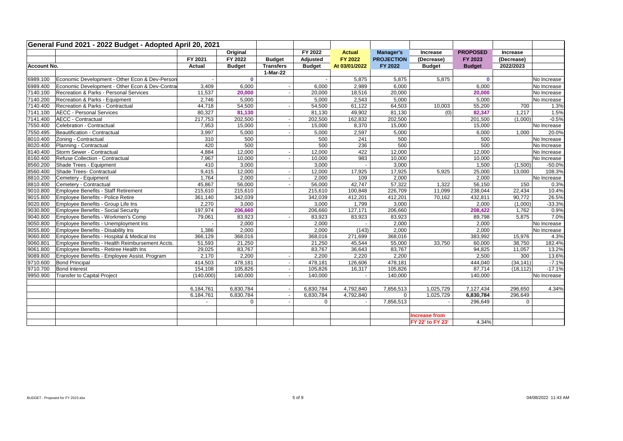|             | General Fund 2021 - 2022 Budget - Adopted April 20, 2021 |           |               |                          |               |                          |                   |                      |                 |            |             |
|-------------|----------------------------------------------------------|-----------|---------------|--------------------------|---------------|--------------------------|-------------------|----------------------|-----------------|------------|-------------|
|             |                                                          |           | Original      |                          | FY 2022       | <b>Actual</b>            | <b>Manager's</b>  | Increase             | <b>PROPOSED</b> | Increase   |             |
|             |                                                          | FY 2021   | FY 2022       | <b>Budget</b>            | Adjusted      | FY 2022                  | <b>PROJECTION</b> | (Decrease)           | FY 2023         | (Decrease) |             |
| Account No. |                                                          | Actual    | <b>Budget</b> | <b>Transfers</b>         | <b>Budget</b> | At 03/01/2022            | FY 2022           | <b>Budget</b>        | <b>Budget</b>   | 2022/2023  |             |
|             |                                                          |           |               | 1-Mar-22                 |               |                          |                   |                      |                 |            |             |
| 6989.100    | Economic Development - Other Econ & Dev-Person           |           | $\mathbf{0}$  |                          |               | 5,875                    | 5,875             | 5,875                | $\mathbf 0$     |            | No Increase |
| 6989.400    | Economic Development - Other Econ & Dev-Contra           | 3,409     | 6,000         | $\overline{\phantom{a}}$ | 6,000         | 2,989                    | 6,000             |                      | 6,000           |            | No Increase |
| 7140.100    | Recreation & Parks - Personal Services                   | 11,537    | 20,000        | $\overline{\phantom{a}}$ | 20,000        | 18,516                   | 20,000            |                      | 20,000          |            | No Increase |
| 7140.200    | Recreation & Parks - Equipment                           | 2,746     | 5,000         |                          | 5,000         | 2,543                    | 5,000             |                      | 5,000           |            | No Increase |
| 7140.400    | Recreation & Parks - Contractual                         | 44,718    | 54,500        | $\overline{\phantom{a}}$ | 54,500        | 61,122                   | 64,503            | 10,003               | 55,200          | 700        | 1.3%        |
| 7141.100    | <b>AECC - Personal Services</b>                          | 80,327    | 81,130        |                          | 81,130        | 49,902                   | 81,130            | (0)                  | 82,347          | 1,217      | 1.5%        |
| 7141.400    | AECC - Contractual                                       | 217,753   | 202,500       | $\sim$                   | 202,500       | 162,832                  | 202,500           |                      | 201,500         | (1.000)    | $-0.5%$     |
| 7550.400    | Celebration - Contractual                                | 7,953     | 15,000        | $\blacksquare$           | 15,000        | 8,370                    | 15,000            |                      | 15,000          |            | No Increase |
| 7550.495    | Beautification - Contractual                             | 3,997     | 5,000         | $\sim$                   | 5,000         | 2,597                    | 5,000             |                      | 6,000           | 1,000      | 20.0%       |
| 8010.400    | Zoning - Contractual                                     | 310       | 500           |                          | 500           | 241                      | 500               |                      | 500             |            | No Increase |
| 8020.400    | Planning - Contractual                                   | 420       | 500           |                          | 500           | 236                      | 500               |                      | 500             |            | No Increase |
| 8140.400    | Storm Sewer - Contractual                                | 4,884     | 12,000        | $\overline{\phantom{a}}$ | 12,000        | 422                      | 12,000            |                      | 12,000          |            | No Increase |
| 8160.400    | Refuse Collection - Contractual                          | 7,967     | 10,000        | $\overline{\phantom{a}}$ | 10,000        | 983                      | 10,000            |                      | 10,000          |            | No Increase |
| 8560.200    | Shade Trees - Equipment                                  | 410       | 3,000         |                          | 3,000         |                          | 3,000             |                      | 1,500           | (1,500)    | $-50.0%$    |
| 8560.400    | Shade Trees- Contractual                                 | 9,415     | 12,000        | $\sim$                   | 12,000        | 17,925                   | 17,925            | 5,925                | 25,000          | 13,000     | 108.3%      |
| 8810.200    | Cemetery - Equipment                                     | 1,764     | 2,000         | $\sim$                   | 2,000         | 109                      | 2,000             |                      | 2,000           |            | No Increase |
| 8810.400    | Cemetery - Contractual                                   | 45,867    | 56,000        | $\overline{\phantom{a}}$ | 56,000        | 42,747                   | 57,322            | 1,322                | 56,150          | 150        | 0.3%        |
| 9010.800    | Employee Benefits - Staff Retirement                     | 215,610   | 215,610       |                          | 215,610       | 100,848                  | 226,709           | 11,099               | 238,044         | 22,434     | 10.4%       |
| 9015.800    | Employee Benefits - Police Retire                        | 361,140   | 342,039       |                          | 342,039       | 412,201                  | 412,201           | 70,162               | 432,811         | 90,772     | 26.5%       |
| 9020.800    | Employee Benefits - Group Life Ins                       | 2,270     | 3,000         |                          | 3,000         | 1,799                    | 3,000             |                      | 2,000           | (1,000)    | $-33.3%$    |
| 9030.800    | Employee Benefits - Social Security                      | 197,974   | 206,660       |                          | 206,660       | 127,171                  | 206,660           |                      | 208,422         | 1,762      | 0.9%        |
| 9040.800    | Employee Benefits - Workmen's Comp                       | 79,061    | 83,923        | $\overline{\phantom{a}}$ | 83,923        | 83,923                   | 83,923            |                      | 89,798          | 5,875      | 7.0%        |
| 9050.800    | Employee Benefits - Unemployment Ins                     |           | 2,000         |                          | 2,000         |                          | 2,000             |                      | 2,000           |            | No Increase |
| 9055.800    | <b>Employee Benefits - Disability Ins</b>                | 1,386     | 2,000         |                          | 2,000         | (143)                    | 2,000             |                      | 2,000           |            | No Increase |
| 9060.800    | Employee Benefits - Hospital & Medical Ins               | 366,129   | 368,016       |                          | 368,016       | 271,699                  | 368,016           |                      | 383,992         | 15,976     | 4.3%        |
| 9060.801    | Employee Benefits - Health Reimbursement Accts.          | 51,593    | 21,250        |                          | 21,250        | 45,544                   | 55,000            | 33,750               | 60,000          | 38,750     | 182.4%      |
| 9061.800    | Employee Benefits - Retiree Health Ins                   | 29,025    | 83,767        |                          | 83,767        | 36,643                   | 83,767            |                      | 94,825          | 11,057     | 13.2%       |
| 9089.800    | Employee Benefits - Employee Assist. Program             | 2,170     | 2,200         | $\sim$                   | 2,200         | 2,220                    | 2,200             |                      | 2,500           | 300        | 13.6%       |
| 9710.600    | <b>Bond Principal</b>                                    | 414,503   | 478,181       | $\overline{\phantom{a}}$ | 478,181       | 126,606                  | 478,181           |                      | 444,040         | (34, 141)  | $-7.1%$     |
| 9710.700    | <b>Bond Interest</b>                                     | 154,108   | 105,826       | $\sim$                   | 105,826       | 16,317                   | 105,826           |                      | 87,714          | (18, 112)  | $-17.1%$    |
| 9950.900    | Transfer to Capital Project                              | (140,000) | 140,000       | $\sim$                   | 140,000       | $\overline{\phantom{a}}$ | 140,000           |                      | 140,000         |            | No Increase |
|             |                                                          |           |               |                          |               |                          |                   |                      |                 |            |             |
|             |                                                          | 6,184,761 | 6,830,784     | $\overline{\phantom{a}}$ | 6,830,784     | 4,792,840                | 7,856,513         | 1,025,729            | 7,127,434       | 296,650    | 4.34%       |
|             |                                                          | 6,184,761 | 6,830,784     | $\overline{\phantom{a}}$ | 6,830,784     | 4,792,840                | $\Omega$          | 1,025,729            | 6,830,784       | 296,649    |             |
|             |                                                          | $\sim$    | $\Omega$      | $\sim$                   | $\mathbf 0$   |                          | 7,856,513         |                      | 296,649         | $\Omega$   |             |
|             |                                                          |           |               |                          |               |                          |                   |                      |                 |            |             |
|             |                                                          |           |               |                          |               |                          |                   | <b>Increase from</b> |                 |            |             |
|             |                                                          |           |               |                          |               |                          |                   | FY 22' to FY 23'     | 4.34%           |            |             |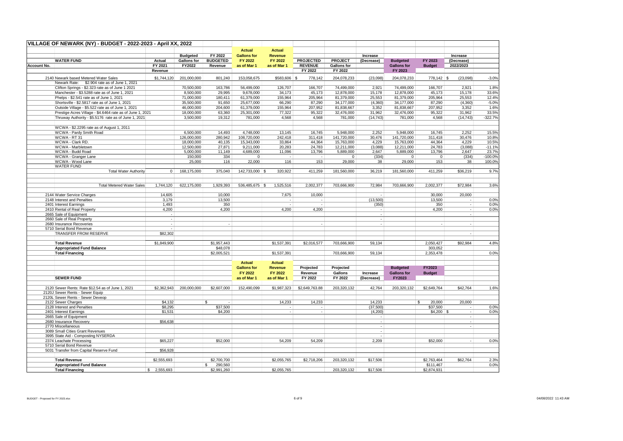|                    | VILLAGE OF NEWARK (NY) - BUDGET - 2022-2023 - April XX, 2022                          |                                   |                    |                         |                    |                |                  |                    |                             |                    |                      |            |           |
|--------------------|---------------------------------------------------------------------------------------|-----------------------------------|--------------------|-------------------------|--------------------|----------------|------------------|--------------------|-----------------------------|--------------------|----------------------|------------|-----------|
|                    |                                                                                       |                                   |                    |                         | <b>Actual</b>      | <b>Actual</b>  |                  |                    |                             |                    |                      |            |           |
|                    |                                                                                       |                                   | <b>Budgeted</b>    | FY 2022                 | <b>Gallons for</b> | Revenue        |                  |                    | Increase                    |                    |                      | Increase   |           |
|                    | <b>WATER FUND</b>                                                                     | Actual                            | <b>Gallons for</b> | <b>BUDGETED</b>         | FY 2022            | FY 2022        | <b>PROJECTED</b> | <b>PROJECT</b>     | (Decrease)                  | <b>Budgeted</b>    | FY 2023              | (Decrease) |           |
| <b>Account No.</b> |                                                                                       | FY 2021                           | FY2022             | Revenue                 | as of Mar 1        | as of Mar 1    | <b>REVENUE</b>   | <b>Gallons for</b> |                             | <b>Gallons for</b> | <b>Budget</b>        | 2022/2023  |           |
|                    |                                                                                       | Revenue                           |                    |                         |                    |                | FY 2022          | FY 2022            |                             | FY 2023            |                      |            |           |
|                    | 2140 Newark based Metered Water Sales<br>Newark Rate: \$2.904 rate as of June 1, 2021 | \$1,744,120                       | 201,000,000        | 801,240                 | 153.058.675        | \$583,606      | l \$<br>778,142  | 204,078,233        | (23,098)                    | 204,078,233        | $778,142$ \$         | (23,098)   | $-3.0%$   |
|                    | Clifton Springs - \$2.323 rate as of June 1 2021                                      |                                   | 70,500,000         | 163,786                 | 56,499,000         | 126,707        | 166,707          | 74,499,000         | 2,921                       | 74,499,000         | 166,707              | 2,921      | 1.8%      |
|                    | Manchester - \$3.5288 rate as of June 1, 2021                                         |                                   | 8,500,000          | 29,995                  | 9,678,000          | 34,173         | 45,173           | 12,878,000         | 15,178                      | 12,878,000         | 45,173               | 15,178     | 33.6%     |
|                    | Phelps - \$2.541 rate as of June 1, 2021                                              |                                   | 71,000,000         | 180,411                 | 61,379,000         | 155,964        | 205,964          | 81,379,000         | 25,553                      | 81,379,000         | 205,964              | 25,553     | 12.4%     |
|                    | Shortsville - \$2.5817 rate as of June 1, 2021                                        |                                   | 35,500,000         | 91,650                  | 25,677,000         | 66,290         | 87,290           | 34,177,000         | (4, 360)                    | 34,177,000         | 87,290               | (4,360)    | $-5.0%$   |
|                    | Outside Village - \$5.522 rate as of June 1, 2021                                     |                                   | 46,000,000         | 204,600                 | 61,379,000         | 155,964        | 207,952          | 81,838,667         | 3,352                       | 81,838,667         | 207,952              | 3,352      | 1.6%      |
|                    | Prestige Acres Village - \$4.6464 rate as of June 1, 2021                             |                                   | 18,000,000         | 63,360                  | 25,301,000         | 77,322         | 95,322           | 32,476,000         | 31,962                      | 32,476,000         | 95,322               | 31,962     | 33.5%     |
|                    | Thruway Authority - \$5.5176 rate as of June 1, 2021                                  |                                   | 3,500,000          | 19.312                  | 781,000            | 4,568          | 4.568            | 781,000            | (14, 743)                   | 781,000            | 4.568                | (14, 743)  | $-322.7%$ |
|                    | WCWA - \$2.2295 rate as of August 1, 2011                                             |                                   |                    |                         |                    |                |                  |                    |                             |                    |                      |            |           |
|                    | WCWA - Pardy Smith Road                                                               |                                   | 6,500,000          | 14,493                  | 4,748,000          | 13,145         | 16,745           | 5,948,000          | 2,252                       | 5,948,000          | 16,745               | 2,252      | 15.5%     |
|                    | WCWA - RT 31                                                                          |                                   | 126,000,000        | 280,942                 | 108,720,000        | 242,418        | 311,418          | 141,720,000        | 30,476                      | 141,720,000        | 311,418              | 30,476     | 10.8%     |
|                    | WCWA - Clark RD.                                                                      |                                   | 18,000,000         | 40,135                  | 15,343,000         | 33,864         | 44,364           | 15,763,000         | 4,229                       | 15,763,000         | 44,364               | 4,229      | 10.5%     |
|                    | WCWA - Marbletown                                                                     |                                   | 12,500,000         | 27,871                  | 9,211,000          | 20,283         | 24,783           | 12,211,000         | (3,088)                     | 12,211,000         | 24,783               | (3,088)    | $-11.1%$  |
|                    | WCWA - Budd Road                                                                      |                                   | 5,000,000          | 11,149                  | 4,689,000          | 11,096         | 13,796           | 5,889,000          | 2,647                       | 5,889,000          | 13,796               | 2,647      | 23.7%     |
|                    | WCWA - Granger Lane                                                                   |                                   | 150,000            | 334                     | $\mathbf{0}$       |                |                  | $\mathbf{0}$       | (334)                       | $\mathbf{0}$       | $\mathbf 0$          | (334)      | $-100.0%$ |
|                    | WCWA - Wood Lane                                                                      |                                   | 25,000             | 116                     | 22,000             | 116            | 153              | 29,000             | 38                          | 29,000             | 153                  | 38         | 100.0%    |
|                    | <b>WATER FUND</b><br><b>Total Water Authority</b>                                     | $\Omega$                          | 168.175.000        | 375,040                 | 142.733.000 \$     | 320.922        | 411.259          | 181.560.000        | 36.219                      | 181.560.000        | 411.259              | \$36,219   | 9.7%      |
|                    |                                                                                       |                                   |                    |                         |                    |                |                  |                    |                             |                    |                      |            |           |
|                    | <b>Total Metered Water Sales</b>                                                      | 1,744,120                         | 622,175,000        | 1,929,393               | 536,485,675 \$     | 1,525,516      | 2,002,377        | 703,666,900        | 72,984                      | 703,666,900        | 2,002,377            | \$72,984   | 3.6%      |
|                    | 2144 Water Service Charges                                                            | 14,605                            |                    | 10,000                  |                    | 7,675          | 10,000           |                    |                             |                    | 30,000               | 20,000     |           |
|                    | 2148 Interest and Penalties                                                           | 3,179                             |                    | 13,500                  |                    | $\sim$         |                  |                    | (13,500)                    |                    | 13,500               |            | 0.0%      |
|                    | 2401 Interest Earnings                                                                | 1,493                             |                    | 350                     |                    |                |                  |                    | (350)                       |                    | 350                  |            | 0.0%      |
|                    | 2410 Rental of Real Property<br>2665 Sale of Equipment                                | 4,200<br>$\overline{\phantom{a}}$ |                    | 4,200                   |                    | 4,200          | 4,200            |                    | $\sim$<br>$\sim$            |                    | 4,200                |            | 0.0%      |
|                    | 2660 Sale of Real Property                                                            | ÷.                                |                    |                         |                    |                |                  |                    | $\sim$                      |                    |                      |            |           |
|                    | 2680 Insurance Recoveries                                                             | $\sim$                            |                    |                         |                    |                |                  |                    | ÷.                          |                    |                      |            |           |
|                    | 5710 Serial Bond Revenue                                                              | $\sim$                            |                    |                         |                    |                |                  |                    |                             |                    |                      |            |           |
|                    | TRANSFER FROM RESERVE                                                                 | \$82,302                          |                    |                         |                    |                |                  |                    |                             |                    |                      |            |           |
|                    | <b>Total Revenue</b>                                                                  | \$1,849,900                       |                    | \$1,957,443             |                    | \$1,537,391    | \$2,016,577      | 703,666,900        | 59,134                      |                    | 2,050,427            | \$92,984   | 4.8%      |
|                    | <b>Appropriated Fund Balance</b><br><b>Total Financing</b>                            |                                   |                    | \$48,078<br>\$2,005,521 |                    | \$1,537,391    |                  | 703,666,900        | 59,134                      |                    | 303,052<br>2,353,478 |            | 0.0%      |
|                    |                                                                                       |                                   |                    |                         | <b>Actual</b>      | <b>Actual</b>  |                  |                    |                             |                    |                      |            |           |
|                    |                                                                                       |                                   |                    |                         | <b>Gallons for</b> | <b>Revenue</b> | Projected        | Projected          |                             | <b>Budgeted</b>    | FY2023               |            |           |
|                    |                                                                                       |                                   |                    |                         | FY 2022            | FY 2022        | Revenue          | <b>Gallons</b>     | Increase                    | <b>Gallons for</b> | <b>Budget</b>        |            |           |
|                    | <b>SEWER FUND</b>                                                                     |                                   |                    |                         | as of Mar 1        | as of Mar 1    | FY 2022          | FY 2022            | (Decrease)                  | FY2023             |                      |            |           |
|                    |                                                                                       |                                   |                    |                         |                    |                |                  |                    |                             |                    |                      |            |           |
|                    | 2120 Sewer Rents: Rate \$12.54 as of June 1, 2021                                     | \$2,362,943                       | 200,000,000        | \$2,607,000             | 152,490,099        | \$1,987,323    | \$2,649,763.88   | 203,320,132        | 42,764                      | 203,320,132        | \$2,649,764          | \$42,764   | 1.6%      |
|                    | 2120J Sewer Rents - Sewer Equip                                                       |                                   |                    |                         |                    |                |                  |                    |                             |                    |                      |            |           |
|                    | 2120L Sewer Rents - Sewer Deveop<br>2122 Sewer Charges                                |                                   |                    | \$.                     |                    | 14,233         | 14,233           |                    | 14,233                      |                    | 20,000<br>\$         | 20,000     |           |
|                    | 2128 Interest and Penalties                                                           | \$4,132<br>\$8,295                |                    | \$37,500                |                    |                |                  |                    | (37, 500)                   |                    | \$37,500             |            | 0.0%      |
|                    | 2401 Interest Earnings                                                                | \$1,531                           |                    | \$4,200                 |                    |                |                  |                    | (4,200)                     |                    | $$4.200$ \$          | ÷          | 0.0%      |
|                    | 2665 Sale of Equipment                                                                |                                   |                    |                         |                    |                |                  |                    | $\sim$                      |                    |                      |            |           |
|                    | 2680 Insurance Recovery                                                               | \$56,638                          |                    |                         |                    |                |                  |                    | $\sim$                      |                    |                      |            |           |
|                    | 2770 Miscellaneous                                                                    |                                   |                    |                         |                    |                |                  |                    | $\mathcal{L}_{\mathcal{A}}$ |                    |                      |            |           |
|                    | 3089 Small Cities Grant Revenues                                                      |                                   |                    |                         |                    |                |                  |                    | $\cdot$                     |                    |                      |            |           |
|                    | 3995 State Aid - Composting NYSERDA                                                   |                                   |                    |                         |                    |                |                  |                    | $\cdot$                     |                    |                      |            |           |
|                    | 2374 Leachate Processing<br>5710 Serial Bond Revenue                                  | \$65,227                          |                    | \$52,000                |                    | 54,209         | 54,209           |                    | 2,209                       |                    | \$52,000             |            | 0.0%      |
|                    | 5031 Transfer from Capital Reserve Fund                                               | \$56,928                          |                    |                         |                    |                |                  |                    |                             |                    |                      |            |           |
|                    |                                                                                       |                                   |                    |                         |                    |                |                  |                    |                             |                    |                      |            |           |
|                    | <b>Total Revenue</b>                                                                  | \$2,555,693                       |                    | \$2,700,700             |                    | \$2,055,765    | \$2,718,206      | 203.320.132        | \$17,506                    |                    | \$2.763.464          | \$62,764   | 2.3%      |
|                    | <b>Appropriated Fund Balance</b>                                                      |                                   |                    | 290,560<br>S.           |                    |                |                  |                    |                             |                    | \$111,467            |            | 0.0%      |
|                    | <b>Total Financing</b>                                                                | $\mathbb{S}$<br>2.555.693         |                    | \$2,991,260             |                    | \$2,055,765    |                  | 203.320.132        | \$17,506                    |                    | \$2.874.931          |            |           |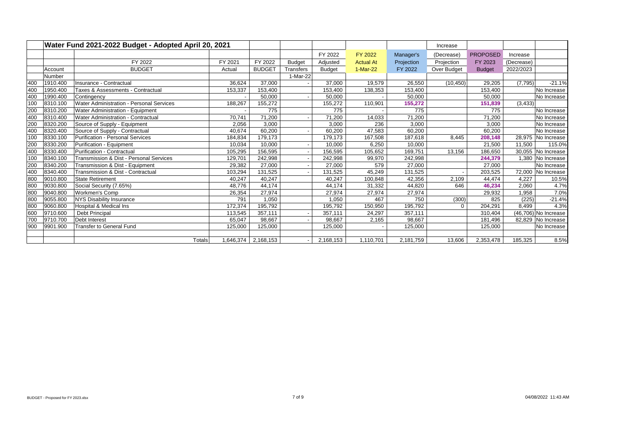|     |          | Water Fund 2021-2022 Budget - Adopted April 20, 2021 |         |                     |               |               |                  |            | Increase    |                 |            |                      |
|-----|----------|------------------------------------------------------|---------|---------------------|---------------|---------------|------------------|------------|-------------|-----------------|------------|----------------------|
|     |          |                                                      |         |                     |               | FY 2022       | <b>FY 2022</b>   | Manager's  | (Decrease)  | <b>PROPOSED</b> | Increase   |                      |
|     |          | FY 2022                                              | FY 2021 | FY 2022             | <b>Budget</b> | Adjusted      | <b>Actual At</b> | Projection | Projection  | FY 2023         | (Decrease) |                      |
|     | Account  | <b>BUDGET</b>                                        | Actual  | <b>BUDGET</b>       | Transfers     | <b>Budget</b> | 1-Mar-22         | FY 2022    | Over Budget | <b>Budget</b>   | 2022/2023  |                      |
|     | Number   |                                                      |         |                     | 1-Mar-22      |               |                  |            |             |                 |            |                      |
| 400 | 1910.400 | Insurance - Contractual                              | 36,624  | 37,000              |               | 37,000        | 19,579           | 26,550     | (10, 450)   | 29,205          | (7, 795)   | $-21.1%$             |
| 400 | 1950.400 | Taxes & Assessments - Contractual                    | 153,337 | 153,400             |               | 153,400       | 138,353          | 153,400    |             | 153,400         |            | No Increase          |
| 400 | 1990.400 | Contingency                                          |         | 50,000              |               | 50,000        |                  | 50,000     |             | 50,000          |            | No Increase          |
| 100 | 8310.100 | Water Administration - Personal Services             | 188,267 | 155,272             |               | 155,272       | 110,901          | 155,272    |             | 151,839         | (3, 433)   |                      |
| 200 | 8310.200 | Water Administration - Equipment                     |         | 775                 |               | 775           |                  | 775        |             | 775             |            | No Increase          |
| 400 | 8310.400 | Water Administration - Contractual                   | 70,741  | 71,200              |               | 71,200        | 14,033           | 71.200     |             | 71,200          |            | No Increase          |
| 200 | 8320.200 | Source of Supply - Equipment                         | 2,056   | 3,000               |               | 3,000         | 236              | 3,000      |             | 3,000           |            | No Increase          |
| 400 | 8320.400 | Source of Supply - Contractual                       | 40,674  | 60,200              |               | 60,200        | 47,583           | 60,200     |             | 60,200          |            | No Increase          |
| 100 | 8330.100 | <b>Purification - Personal Services</b>              | 184,834 | 179,173             |               | 179,173       | 167,508          | 187,618    | 8,445       | 208,148         |            | 28,975 No Increase   |
| 200 | 8330.200 | Purification - Equipment                             | 10,034  | 10,000              |               | 10,000        | 6,250            | 10,000     |             | 21,500          | 11,500     | 115.0%               |
| 400 | 8330.400 | Purification - Contractual                           | 105,295 | 156,595             |               | 156,595       | 105,652          | 169,751    | 13,156      | 186,650         | 30,055     | No Increase          |
| 100 | 8340.100 | Transmission & Dist - Personal Services              | 129,701 | 242,998             |               | 242,998       | 99,970           | 242,998    |             | 244,379         |            | 1,380 No Increase    |
| 200 | 8340.200 | Transmission & Dist - Equipment                      | 29,382  | 27,000              |               | 27,000        | 579              | 27,000     |             | 27,000          |            | No Increase          |
| 400 | 8340.400 | Transmission & Dist - Contractual                    | 103,294 | 131,525             |               | 131,525       | 45,249           | 131,525    |             | 203,525         |            | 72,000 No Increase   |
| 800 | 9010.800 | <b>State Retirement</b>                              | 40,247  | 40,247              |               | 40,247        | 100,848          | 42,356     | 2,109       | 44,474          | 4,227      | 10.5%                |
| 800 | 9030.800 | Social Security (7.65%)                              | 48,776  | 44,174              |               | 44,174        | 31,332           | 44,820     | 646         | 46,234          | 2,060      | 4.7%                 |
| 800 | 9040.800 | Workmen's Comp                                       | 26,354  | 27,974              |               | 27,974        | 27,974           | 27,974     |             | 29,932          | 1,958      | 7.0%                 |
| 800 | 9055.800 | NYS Disability Insurance                             | 791     | 1,050               |               | 1,050         | 467              | 750        | (300)       | 825             | (225)      | $-21.4%$             |
| 800 | 9060.800 | Hospital & Medical Ins                               | 172,374 | 195,792             |               | 195,792       | 150,950          | 195,792    | $\mathbf 0$ | 204,291         | 8.499      | 4.3%                 |
| 600 | 9710.600 | Debt Principal                                       | 113,545 | 357,111             |               | 357,111       | 24,297           | 357,111    |             | 310,404         |            | (46,706) No Increase |
| 700 | 9710.700 | Debt Interest                                        | 65.047  | 98.667              |               | 98.667        | 2,165            | 98,667     |             | 181,496         |            | 82,829 No Increase   |
| 900 | 9901.900 | <b>Transfer to General Fund</b>                      | 125,000 | 125,000             |               | 125,000       |                  | 125,000    |             | 125,000         |            | No Increase          |
|     |          |                                                      |         |                     |               |               |                  |            |             |                 |            |                      |
|     |          | Totals                                               |         | 1,646,374 2,168,153 |               | 2,168,153     | 1,110,701        | 2,181,759  | 13,606      | 2,353,478       | 185,325    | 8.5%                 |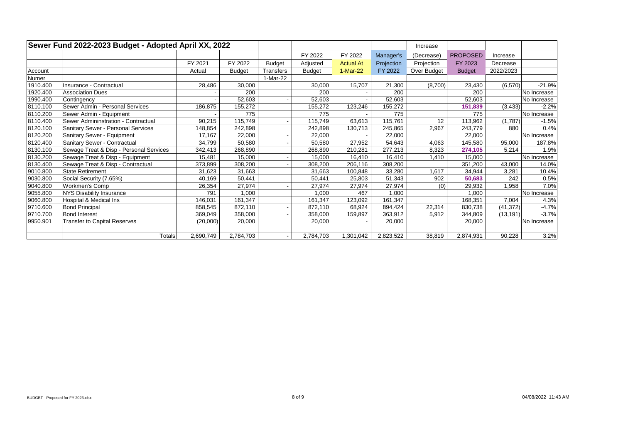|          | Sewer Fund 2022-2023 Budget - Adopted April XX, 2022 |           |               |               |               |                  |            | Increase    |                 |           |             |
|----------|------------------------------------------------------|-----------|---------------|---------------|---------------|------------------|------------|-------------|-----------------|-----------|-------------|
|          |                                                      |           |               |               | FY 2022       | FY 2022          | Manager's  | (Decrease)  | <b>PROPOSED</b> | Increase  |             |
|          |                                                      | FY 2021   | FY 2022       | <b>Budget</b> | Adjusted      | <b>Actual At</b> | Projection | Projection  | FY 2023         | Decrease  |             |
| Account  |                                                      | Actual    | <b>Budget</b> | Transfers     | <b>Budget</b> | 1-Mar-22         | FY 2022    | Over Budget | <b>Budget</b>   | 2022/2023 |             |
| Numer    |                                                      |           |               | 1-Mar-22      |               |                  |            |             |                 |           |             |
| 1910.400 | Insurance - Contractual                              | 28,486    | 30,000        |               | 30,000        | 15,707           | 21,300     | (8,700)     | 23,430          | (6,570)   | $-21.9%$    |
| 1920.400 | <b>Association Dues</b>                              |           | 200           |               | 200           |                  | 200        |             | 200             |           | No Increase |
| 1990.400 | Contingency                                          |           | 52,603        |               | 52,603        |                  | 52,603     |             | 52,603          |           | No Increase |
| 8110.100 | Sewer Admin - Personal Services                      | 186,875   | 155,272       |               | 155,272       | 123,246          | 155,272    |             | 151,839         | (3, 433)  | $-2.2%$     |
| 8110.200 | Sewer Admin - Equipment                              |           | 775           |               | 775           |                  | 775        |             | 775             |           | No Increase |
| 8110.400 | Sewer Admininstration - Contractual                  | 90,215    | 115,749       |               | 115,749       | 63,613           | 115,761    | 12          | 113,962         | (1,787)   | $-1.5%$     |
| 8120.100 | Sanitary Sewer - Personal Services                   | 148,854   | 242,898       |               | 242,898       | 130,713          | 245,865    | 2,967       | 243,779         | 880       | 0.4%        |
| 8120.200 | Sanitary Sewer - Equipment                           | 17,167    | 22,000        |               | 22,000        |                  | 22,000     |             | 22,000          |           | No Increase |
| 8120.400 | Sanitary Sewer - Contractual                         | 34,799    | 50,580        |               | 50,580        | 27,952           | 54,643     | 4.063       | 145,580         | 95,000    | 187.8%      |
| 8130.100 | Sewage Treat & Disp - Personal Services              | 342,413   | 268,890       |               | 268,890       | 210,281          | 277,213    | 8.323       | 274,105         | 5,214     | 1.9%        |
| 8130.200 | Sewage Treat & Disp - Equipment                      | 15,481    | 15,000        |               | 15,000        | 16,410           | 16,410     | 1,410       | 15,000          |           | No Increase |
| 8130.400 | Sewage Treat & Disp - Contractual                    | 373,899   | 308,200       |               | 308,200       | 206,116          | 308,200    |             | 351,200         | 43,000    | 14.0%       |
| 9010.800 | <b>State Retirement</b>                              | 31,623    | 31,663        |               | 31,663        | 100,848          | 33,280     | 1,617       | 34,944          | 3,281     | 10.4%       |
| 9030.800 | Social Security (7.65%)                              | 40,169    | 50,441        |               | 50,441        | 25,803           | 51,343     | 902         | 50,683          | 242       | 0.5%        |
| 9040.800 | <b>Workmen's Comp</b>                                | 26,354    | 27,974        |               | 27,974        | 27,974           | 27,974     | (0)         | 29,932          | 1,958     | 7.0%        |
| 9055.800 | <b>NYS Disability Insurance</b>                      | 791       | 1,000         |               | 1,000         | 467              | 1.000      |             | 1,000           |           | No Increase |
| 9060.800 | Hospital & Medical Ins                               | 146,031   | 161,347       |               | 161,347       | 123,092          | 161,347    |             | 168,351         | 7,004     | 4.3%        |
| 9710.600 | <b>Bond Principal</b>                                | 858,545   | 872,110       |               | 872,110       | 68,924           | 894.424    | 22,314      | 830,738         | (41, 372) | $-4.7%$     |
| 9710.700 | <b>Bond Interest</b>                                 | 369,049   | 358,000       |               | 358,000       | 159,897          | 363,912    | 5,912       | 344,809         | (13, 191) | $-3.7%$     |
| 9950.901 | <b>Transfer to Capital Reserves</b>                  | (20,000)  | 20,000        |               | 20,000        |                  | 20,000     |             | 20,000          |           | No Increase |
|          |                                                      |           |               |               |               |                  |            |             |                 |           |             |
|          | <b>Totals</b>                                        | 2,690,749 | 2,784,703     |               | 2,784,703     | 1,301,042        | 2,823,522  | 38,819      | 2,874,931       | 90,228    | 3.2%        |